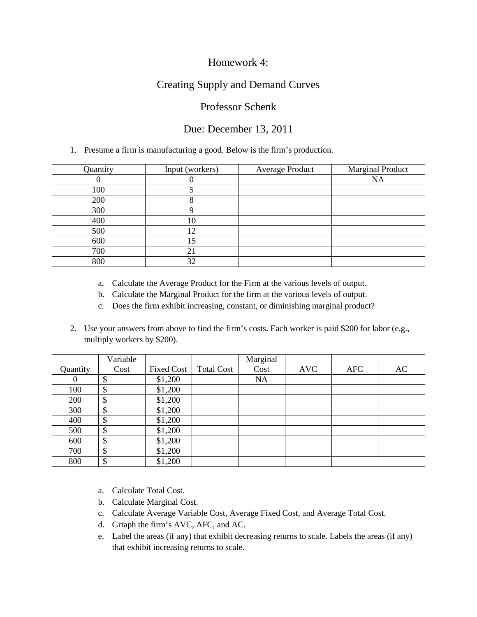## Homework 4:

# Creating Supply and Demand Curves

### Professor Schenk

## Due: December 13, 2011

#### 1. Presume a firm is manufacturing a good. Below is the firm's production.

| Quantity | Input (workers) | <b>Average Product</b> | <b>Marginal Product</b> |
|----------|-----------------|------------------------|-------------------------|
|          |                 |                        | <b>NA</b>               |
| 100      |                 |                        |                         |
| 200      |                 |                        |                         |
| 300      |                 |                        |                         |
| 400      | 10              |                        |                         |
| 500      | 12              |                        |                         |
| 600      | 5،              |                        |                         |
| 700      | 21              |                        |                         |
| 800      | 32              |                        |                         |

- a. Calculate the Average Product for the Firm at the various levels of output.
- b. Calculate the Marginal Product for the firm at the various levels of output.
- c. Does the firm exhibit increasing, constant, or diminishing marginal product?
- 2. Use your answers from above to find the firm's costs. Each worker is paid \$200 for labor (e.g., multiply workers by \$200).

|          | Variable                  |                   |                   | Marginal  |            |     |    |
|----------|---------------------------|-------------------|-------------------|-----------|------------|-----|----|
| Quantity | Cost                      | <b>Fixed Cost</b> | <b>Total Cost</b> | Cost      | <b>AVC</b> | AFC | AC |
| 0        | \$                        | \$1,200           |                   | <b>NA</b> |            |     |    |
| 100      | \$                        | \$1,200           |                   |           |            |     |    |
| 200      | \$                        | \$1,200           |                   |           |            |     |    |
| 300      | $\boldsymbol{\mathsf{S}}$ | \$1,200           |                   |           |            |     |    |
| 400      | \$                        | \$1,200           |                   |           |            |     |    |
| 500      | \$                        | \$1,200           |                   |           |            |     |    |
| 600      | $\boldsymbol{\mathsf{S}}$ | \$1,200           |                   |           |            |     |    |
| 700      | $\boldsymbol{\mathsf{S}}$ | \$1,200           |                   |           |            |     |    |
| 800      | \$                        | \$1,200           |                   |           |            |     |    |

- a. Calculate Total Cost.
- b. Calculate Marginal Cost.
- c. Calculate Average Variable Cost, Average Fixed Cost, and Average Total Cost.
- d. Grtaph the firm's AVC, AFC, and AC.
- e. Label the areas (if any) that exhibit decreasing returns to scale. Labels the areas (if any) that exhibit increasing returns to scale.